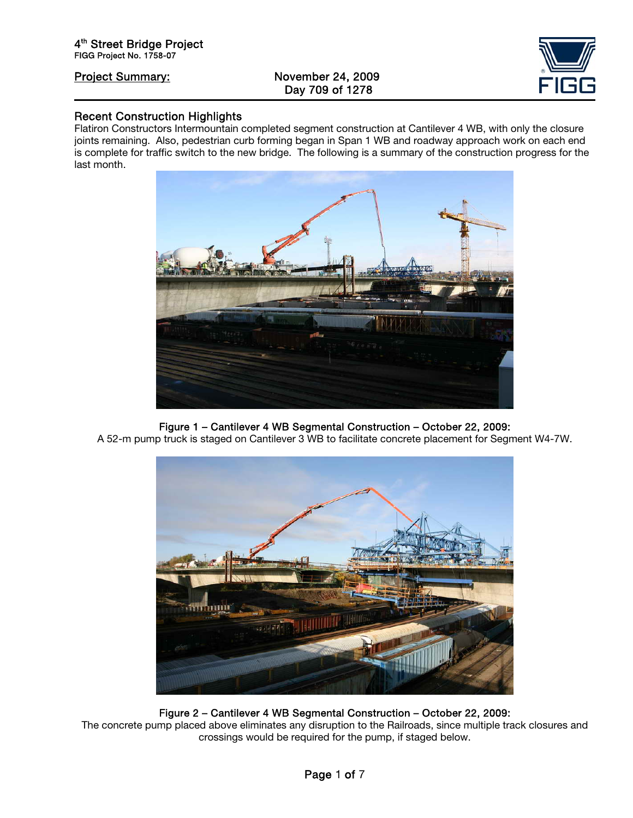# Project Summary: November 24, 2009 Day 709 of 1278



## Recent Construction Highlights

Flatiron Constructors Intermountain completed segment construction at Cantilever 4 WB, with only the closure joints remaining. Also, pedestrian curb forming began in Span 1 WB and roadway approach work on each end is complete for traffic switch to the new bridge. The following is a summary of the construction progress for the last month.



# Figure 1 – Cantilever 4 WB Segmental Construction – October 22, 2009:

A 52-m pump truck is staged on Cantilever 3 WB to facilitate concrete placement for Segment W4-7W.



### Figure 2 – Cantilever 4 WB Segmental Construction – October 22, 2009: The concrete pump placed above eliminates any disruption to the Railroads, since multiple track closures and crossings would be required for the pump, if staged below.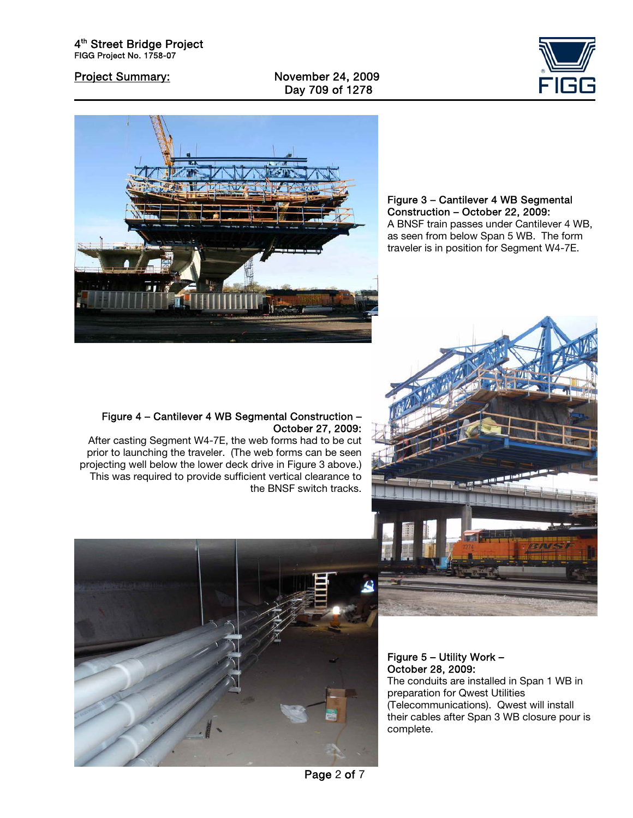Project Summary: November 24, 2009 Day 709 of 1278





Figure 3 – Cantilever 4 WB Segmental Construction – October 22, 2009: A BNSF train passes under Cantilever 4 WB, as seen from below Span 5 WB. The form traveler is in position for Segment W4-7E.

### Figure 4 – Cantilever 4 WB Segmental Construction – October 27, 2009:

After casting Segment W4-7E, the web forms had to be cut prior to launching the traveler. (The web forms can be seen projecting well below the lower deck drive in Figure 3 above.) This was required to provide sufficient vertical clearance to the BNSF switch tracks.





Figure 5 – Utility Work – October 28, 2009:

The conduits are installed in Span 1 WB in preparation for Qwest Utilities (Telecommunications). Qwest will install their cables after Span 3 WB closure pour is complete.

Page 2 of 7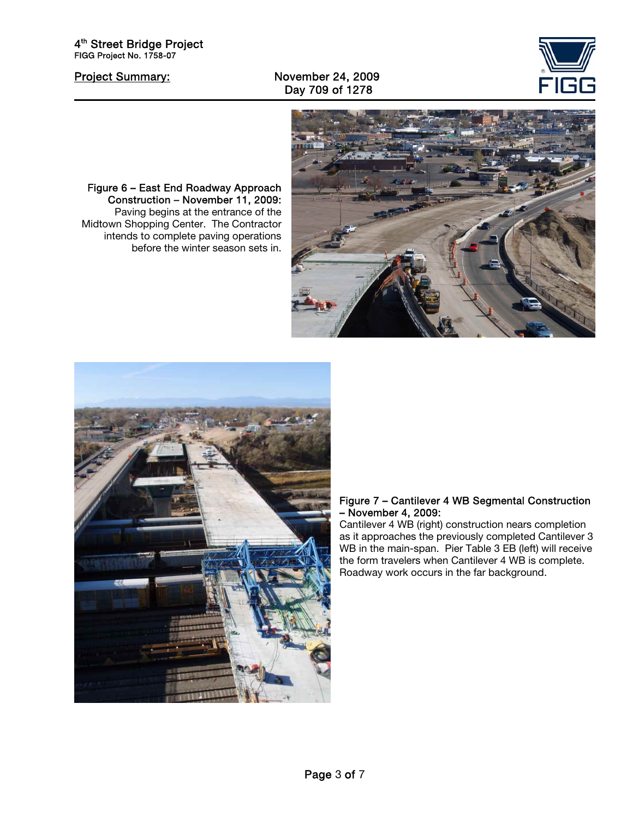# Project Summary: November 24, 2009 Day 709 of 1278





### Figure 7 – Cantilever 4 WB Segmental Construction – November 4, 2009:

Cantilever 4 WB (right) construction nears completion as it approaches the previously completed Cantilever 3 WB in the main-span. Pier Table 3 EB (left) will receive the form travelers when Cantilever 4 WB is complete. Roadway work occurs in the far background.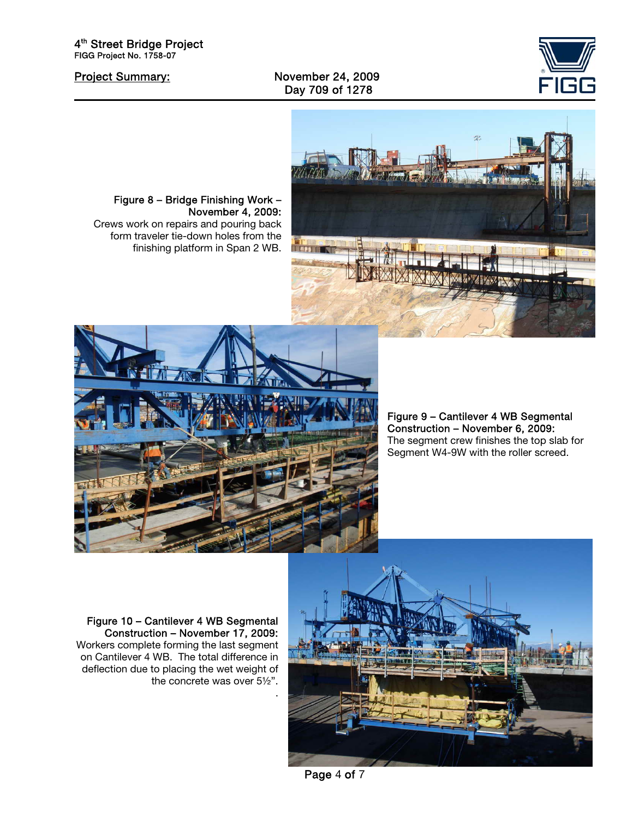Project Summary: November 24, 2009 Day 709 of 1278







Figure 8 – Bridge Finishing Work –

Crews work on repairs and pouring back form traveler tie-down holes from the finishing platform in Span 2 WB.

November 4, 2009:

Figure 9 – Cantilever 4 WB Segmental Construction – November 6, 2009: The segment crew finishes the top slab for Segment W4-9W with the roller screed.

Figure 10 – Cantilever 4 WB Segmental Construction – November 17, 2009: Workers complete forming the last segment on Cantilever 4 WB. The total difference in deflection due to placing the wet weight of the concrete was over 5½".



Page 4 of 7

.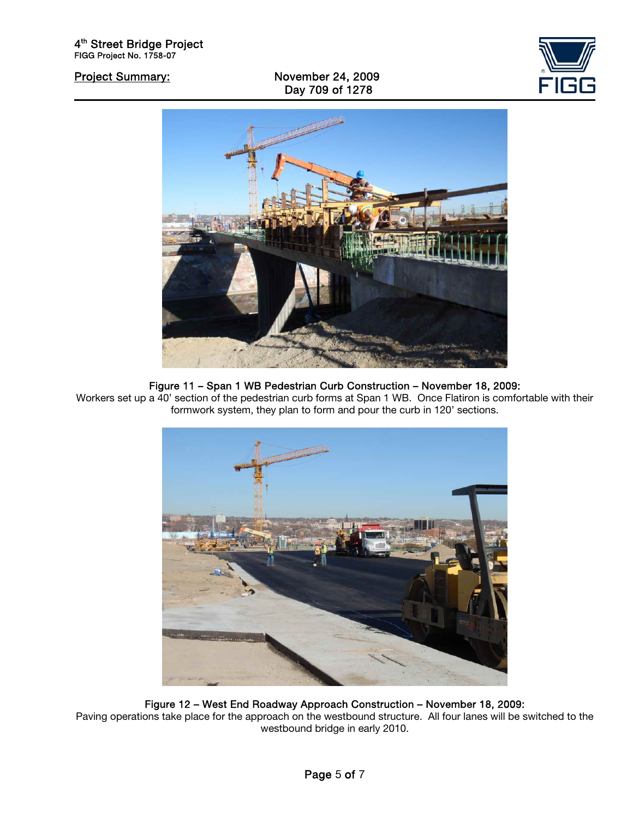Project Summary: November 24, 2009 Day 709 of 1278





## Figure 11 – Span 1 WB Pedestrian Curb Construction – November 18, 2009:

Workers set up a 40' section of the pedestrian curb forms at Span 1 WB. Once Flatiron is comfortable with their formwork system, they plan to form and pour the curb in 120' sections.



Figure 12 – West End Roadway Approach Construction – November 18, 2009: Paving operations take place for the approach on the westbound structure. All four lanes will be switched to the westbound bridge in early 2010.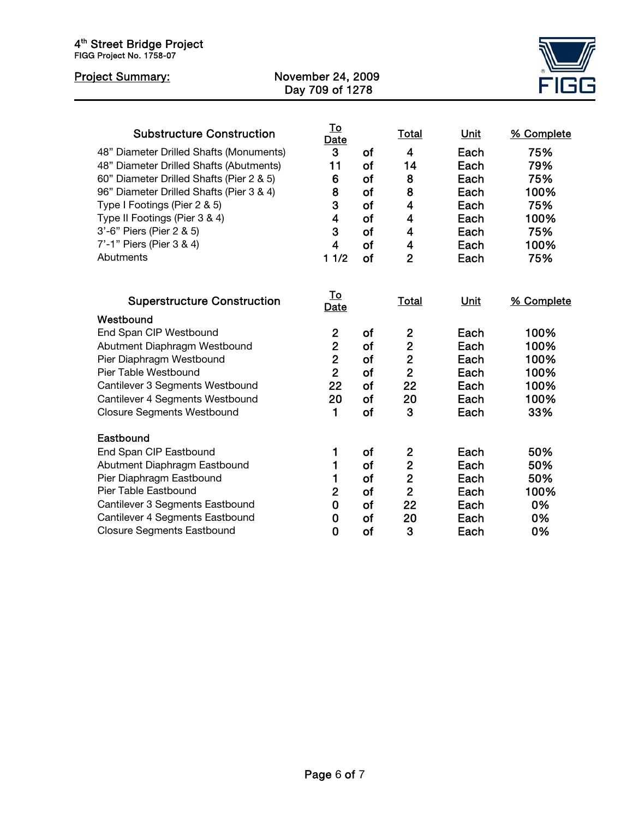| 4 <sup>th</sup> Street Bridge Project<br>FIGG Project No. 1758-07 |                                             |           |                         |             |            |
|-------------------------------------------------------------------|---------------------------------------------|-----------|-------------------------|-------------|------------|
| <b>Project Summary:</b>                                           | <b>November 24, 2009</b><br>Day 709 of 1278 |           |                         |             |            |
|                                                                   |                                             |           |                         |             |            |
| <b>Substructure Construction</b>                                  | <u>To</u><br>Date                           |           | <u>Total</u>            | <b>Unit</b> | % Complete |
| 48" Diameter Drilled Shafts (Monuments)                           | 3                                           | <b>of</b> | $\overline{\mathbf{4}}$ | Each        | 75%        |
| 48" Diameter Drilled Shafts (Abutments)                           | 11                                          | of        | 14                      | Each        | 79%        |
| 60" Diameter Drilled Shafts (Pier 2 & 5)                          | 6                                           | of        | 8                       | Each        | 75%        |
| 96" Diameter Drilled Shafts (Pier 3 & 4)                          | 8                                           | of        | 8                       | Each        | 100%       |
| Type I Footings (Pier 2 & 5)                                      | 3                                           | <b>of</b> | $\overline{\mathbf{4}}$ | Each        | 75%        |
| Type II Footings (Pier 3 & 4)                                     | $\overline{\mathbf{4}}$                     | of        | $\overline{\mathbf{4}}$ | Each        | 100%       |
| 3'-6" Piers (Pier 2 & 5)                                          | 3                                           | of        | $\overline{\mathbf{4}}$ | Each        | 75%        |
| 7'-1" Piers (Pier 3 & 4)                                          | $\overline{\mathbf{4}}$                     | of        | $\overline{\mathbf{4}}$ | Each        | 100%       |
| Abutments                                                         | 11/2                                        | of        | $\overline{2}$          | Each        | 75%        |
|                                                                   |                                             |           |                         |             |            |
| <b>Superstructure Construction</b>                                | <u>To</u><br>Date                           |           | Total                   | Unit        | % Complete |
| Westbound                                                         |                                             |           |                         |             |            |
| End Span CIP Westbound                                            | $\overline{2}$                              | of        | $\overline{2}$          | Each        | 100%       |
| Abutment Diaphragm Westbound                                      | $\overline{2}$                              | of        | $\overline{2}$          | Each        | 100%       |
| Pier Diaphragm Westbound                                          | $\overline{2}$                              | of        | $\overline{2}$          | Each        | 100%       |
| Pier Table Westbound                                              | $\overline{2}$                              | of        | $\overline{2}$          | Each        | 100%       |
| Cantilever 3 Segments Westbound                                   | 22                                          | of        | 22                      | Each        | 100%       |
| Cantilever 4 Segments Westbound                                   | 20                                          | of        | 20                      | Each        | 100%       |
| <b>Closure Segments Westbound</b>                                 | 1                                           | of        | 3                       | Each        | 33%        |
| Eastbound                                                         |                                             |           |                         |             |            |
| End Span CIP Eastbound                                            | 1                                           | of        | $\mathbf{2}$            | Each        | 50%        |
| Abutment Diaphragm Eastbound                                      | 1                                           | of        | $\overline{2}$          | Each        | 50%        |
| Pier Diaphragm Eastbound                                          | 1                                           | of        | $\overline{2}$          | Each        | 50%        |
| Pier Table Eastbound                                              | $\overline{2}$                              | of        | $\overline{2}$          | Each        | 100%       |
| Cantilever 3 Segments Eastbound                                   | 0                                           | of        | 22                      | Each        | 0%         |
| Cantilever 4 Segments Eastbound                                   | $\bf{0}$                                    | of        | 20                      | Each        | 0%         |
| <b>Closure Segments Eastbound</b>                                 | 0                                           | <b>of</b> | 3                       | Each        | 0%         |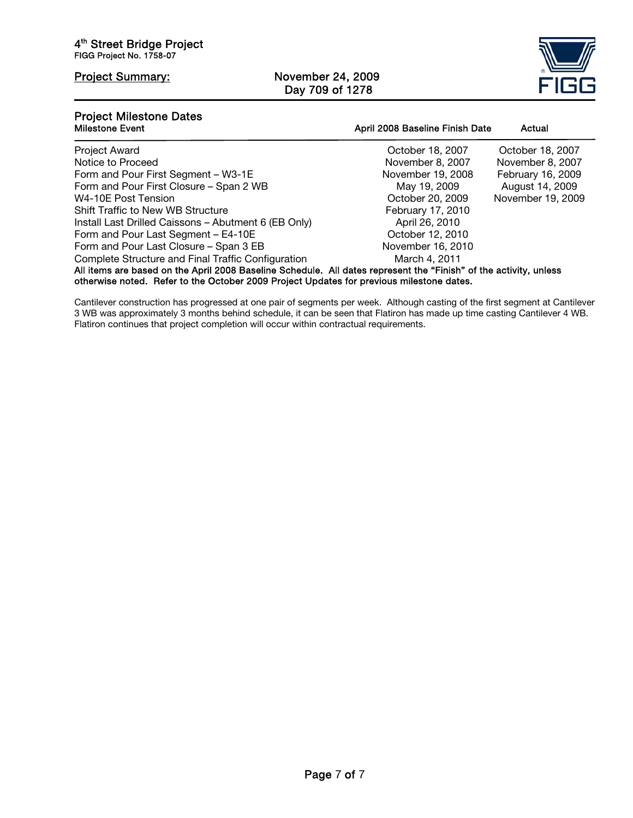# Project Summary: November 24, 2009 Day 709 of 1278



# Project Milestone Dates

| .<br><b>Milestone Event</b>                                                                                                                                                                                   | April 2008 Baseline Finish Date | Actual            |  |  |  |
|---------------------------------------------------------------------------------------------------------------------------------------------------------------------------------------------------------------|---------------------------------|-------------------|--|--|--|
| <b>Project Award</b>                                                                                                                                                                                          | October 18, 2007                | October 18, 2007  |  |  |  |
| Notice to Proceed                                                                                                                                                                                             | November 8, 2007                | November 8, 2007  |  |  |  |
| Form and Pour First Segment - W3-1E                                                                                                                                                                           | November 19, 2008               | February 16, 2009 |  |  |  |
| Form and Pour First Closure - Span 2 WB                                                                                                                                                                       | May 19, 2009                    | August 14, 2009   |  |  |  |
| W4-10E Post Tension                                                                                                                                                                                           | October 20, 2009                | November 19, 2009 |  |  |  |
| <b>Shift Traffic to New WB Structure</b>                                                                                                                                                                      | February 17, 2010               |                   |  |  |  |
| Install Last Drilled Caissons - Abutment 6 (EB Only)                                                                                                                                                          | April 26, 2010                  |                   |  |  |  |
| Form and Pour Last Segment - E4-10E                                                                                                                                                                           | October 12, 2010                |                   |  |  |  |
| Form and Pour Last Closure - Span 3 EB                                                                                                                                                                        | November 16, 2010               |                   |  |  |  |
| Complete Structure and Final Traffic Configuration                                                                                                                                                            | March 4, 2011                   |                   |  |  |  |
| All items are based on the April 2008 Baseline Schedule. All dates represent the "Finish" of the activity, unless<br>otherwise noted. Refer to the October 2009 Project Updates for previous milestone dates. |                                 |                   |  |  |  |

Cantilever construction has progressed at one pair of segments per week. Although casting of the first segment at Cantilever 3 WB was approximately 3 months behind schedule, it can be seen that Flatiron has made up time casting Cantilever 4 WB. Flatiron continues that project completion will occur within contractual requirements.